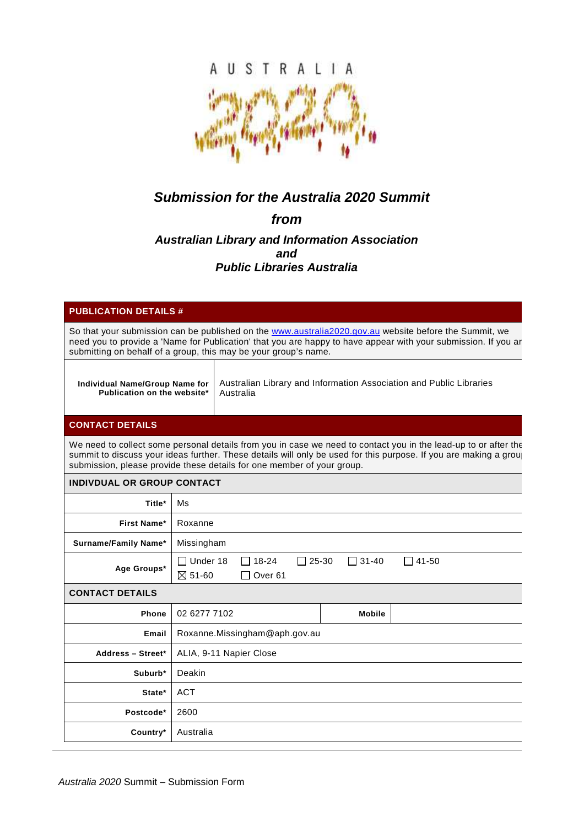

# **Submission for the Australia 2020 Summit**

# **from**

## **Australian Library and Information Association and Public Libraries Australia**

| <b>PUBLICATION DETAILS #</b>                                                                                                                                                                                                                                                                                   |                                                                                                                                    |
|----------------------------------------------------------------------------------------------------------------------------------------------------------------------------------------------------------------------------------------------------------------------------------------------------------------|------------------------------------------------------------------------------------------------------------------------------------|
| So that your submission can be published on the www.australia2020.gov.au website before the Summit, we<br>need you to provide a 'Name for Publication' that you are happy to have appear with your submission. If you ar<br>submitting on behalf of a group, this may be your group's name.                    |                                                                                                                                    |
| Individual Name/Group Name for<br>Publication on the website*                                                                                                                                                                                                                                                  | Australian Library and Information Association and Public Libraries<br>Australia                                                   |
| <b>CONTACT DETAILS</b>                                                                                                                                                                                                                                                                                         |                                                                                                                                    |
| We need to collect some personal details from you in case we need to contact you in the lead-up to or after the<br>summit to discuss your ideas further. These details will only be used for this purpose. If you are making a group<br>submission, please provide these details for one member of your group. |                                                                                                                                    |
| <b>INDIVDUAL OR GROUP CONTACT</b>                                                                                                                                                                                                                                                                              |                                                                                                                                    |
| Title*                                                                                                                                                                                                                                                                                                         | Ms                                                                                                                                 |
| First Name*                                                                                                                                                                                                                                                                                                    | Roxanne                                                                                                                            |
| Surname/Family Name*                                                                                                                                                                                                                                                                                           | Missingham                                                                                                                         |
| Age Groups*                                                                                                                                                                                                                                                                                                    | $\Box$ Under 18<br>$\Box$ 25-30<br>$\Box$ 31-40<br>$\Box$ 41-50<br>$\overline{1}$ 18-24<br>$\boxtimes$ 51-60<br>Over <sub>61</sub> |
| <b>CONTACT DETAILS</b>                                                                                                                                                                                                                                                                                         |                                                                                                                                    |
| <b>Phone</b>                                                                                                                                                                                                                                                                                                   | 02 6277 7102<br><b>Mobile</b>                                                                                                      |
| Email                                                                                                                                                                                                                                                                                                          | Roxanne.Missingham@aph.gov.au                                                                                                      |
| Address - Street*                                                                                                                                                                                                                                                                                              | ALIA, 9-11 Napier Close                                                                                                            |
| Suburb*                                                                                                                                                                                                                                                                                                        | Deakin                                                                                                                             |
| State*                                                                                                                                                                                                                                                                                                         | <b>ACT</b>                                                                                                                         |
| Postcode*                                                                                                                                                                                                                                                                                                      | 2600                                                                                                                               |
| Country*                                                                                                                                                                                                                                                                                                       | Australia                                                                                                                          |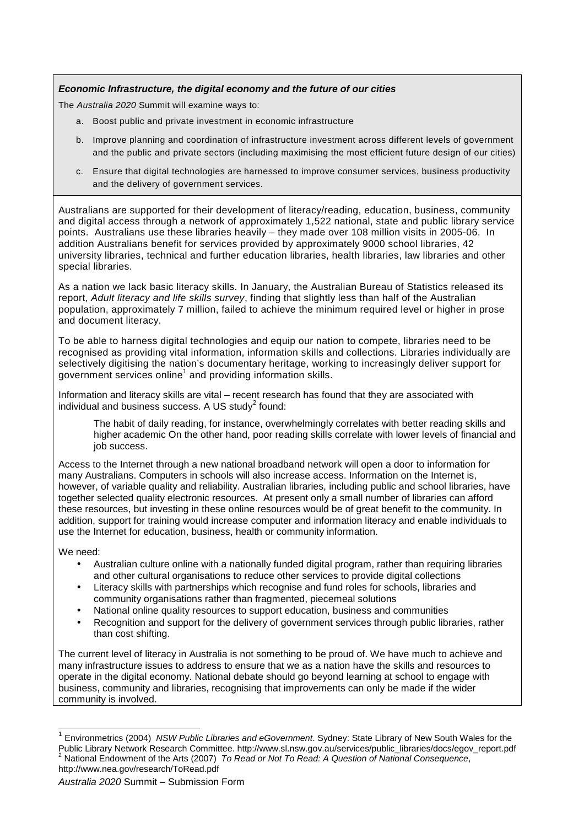### **Economic Infrastructure, the digital economy and the future of our cities**

The Australia 2020 Summit will examine ways to:

- a. Boost public and private investment in economic infrastructure
- b. Improve planning and coordination of infrastructure investment across different levels of government and the public and private sectors (including maximising the most efficient future design of our cities)
- c. Ensure that digital technologies are harnessed to improve consumer services, business productivity and the delivery of government services.

Australians are supported for their development of literacy/reading, education, business, community and digital access through a network of approximately 1,522 national, state and public library service points. Australians use these libraries heavily – they made over 108 million visits in 2005-06. In addition Australians benefit for services provided by approximately 9000 school libraries, 42 university libraries, technical and further education libraries, health libraries, law libraries and other special libraries.

As a nation we lack basic literacy skills. In January, the Australian Bureau of Statistics released its report, Adult literacy and life skills survey, finding that slightly less than half of the Australian population, approximately 7 million, failed to achieve the minimum required level or higher in prose and document literacy.

To be able to harness digital technologies and equip our nation to compete, libraries need to be recognised as providing vital information, information skills and collections. Libraries individually are selectively digitising the nation's documentary heritage, working to increasingly deliver support for government services online<sup>1</sup> and providing information skills.

Information and literacy skills are vital – recent research has found that they are associated with individual and business success. A US study $2$  found:

The habit of daily reading, for instance, overwhelmingly correlates with better reading skills and higher academic On the other hand, poor reading skills correlate with lower levels of financial and job success.

Access to the Internet through a new national broadband network will open a door to information for many Australians. Computers in schools will also increase access. Information on the Internet is, however, of variable quality and reliability. Australian libraries, including public and school libraries, have together selected quality electronic resources. At present only a small number of libraries can afford these resources, but investing in these online resources would be of great benefit to the community. In addition, support for training would increase computer and information literacy and enable individuals to use the Internet for education, business, health or community information.

We need:

 $\overline{a}$ 

- Australian culture online with a nationally funded digital program, rather than requiring libraries and other cultural organisations to reduce other services to provide digital collections
- Literacy skills with partnerships which recognise and fund roles for schools, libraries and community organisations rather than fragmented, piecemeal solutions
- National online quality resources to support education, business and communities
- Recognition and support for the delivery of government services through public libraries, rather than cost shifting.

The current level of literacy in Australia is not something to be proud of. We have much to achieve and many infrastructure issues to address to ensure that we as a nation have the skills and resources to operate in the digital economy. National debate should go beyond learning at school to engage with business, community and libraries, recognising that improvements can only be made if the wider community is involved.

<sup>1</sup> Environmetrics (2004) NSW Public Libraries and eGovernment. Sydney: State Library of New South Wales for the Public Library Network Research Committee. http://www.sl.nsw.gov.au/services/public\_libraries/docs/egov\_report.pdf<br><sup>2</sup> National Endoument of the Arts (2007). To Read at Nat To Read: A Question of National Consequence National Endowment of the Arts (2007) To Read or Not To Read: A Question of National Consequence, http://www.nea.gov/research/ToRead.pdf